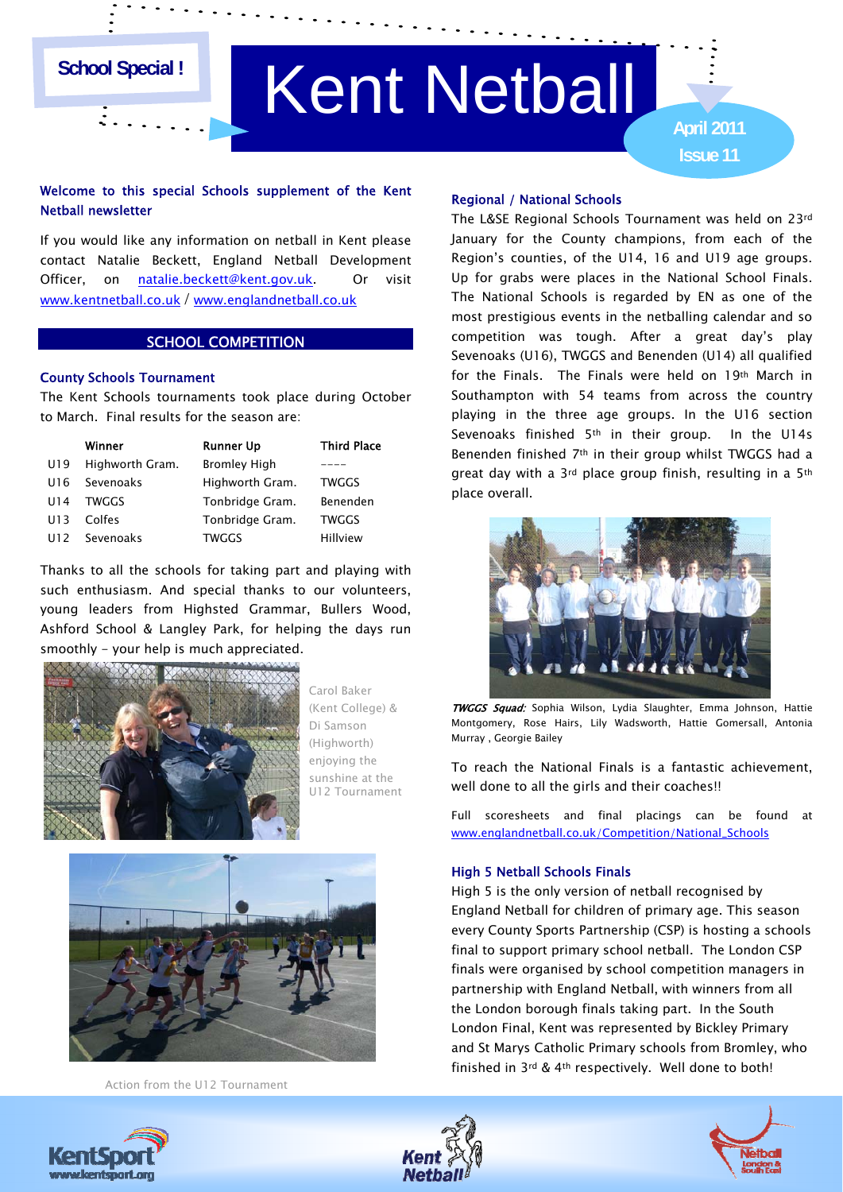## **School Special !**

# Kent Netball

**Issue 11 April 2011**

## Welcome to this special Schools supplement of the Kent Netball newsletter

If you would like any information on netball in Kent please contact Natalie Beckett, England Netball Development Officer, on [natalie.beckett@kent.gov.uk.](mailto:natalie.beckett@kent.gov.uk) Or visit [www.kentnetball.co.uk](http://www.kentnetball.co.uk/) / [www.englandnetball.co.uk](http://www.englandnetball.co.uk/)

## SCHOOL COMPETITION

### County Schools Tournament

The Kent Schools tournaments took place during October to March. Final results for the season are:

|                 | Winner          | <b>Runner Up</b>    | <b>Third Place</b> |
|-----------------|-----------------|---------------------|--------------------|
| U19             | Highworth Gram. | <b>Bromley High</b> |                    |
| U16             | Sevenoaks       | Highworth Gram.     | <b>TWGGS</b>       |
| U <sub>14</sub> | <b>TWGGS</b>    | Tonbridge Gram.     | Benenden           |
| U13             | Colfes          | Tonbridge Gram.     | <b>TWGGS</b>       |
| U12             | Sevenoaks       | TWGGS               | Hillview           |

Thanks to all the schools for taking part and playing with such enthusiasm. And special thanks to our volunteers, young leaders from Highsted Grammar, Bullers Wood, Ashford School & Langley Park, for helping the days run smoothly - your help is much appreciated.



 sunshine at the Carol Baker (Kent College) & Di Samson (Highworth) enjoying the U12 Tournament



Action from the U12 Tournament

#### Regional / National Schools

The L&SE Regional Schools Tournament was held on 23rd January for the County champions, from each of the Region's counties, of the U14, 16 and U19 age groups. Up for grabs were places in the National School Finals. The National Schools is regarded by EN as one of the most prestigious events in the netballing calendar and so competition was tough. After a great day's play Sevenoaks (U16), TWGGS and Benenden (U14) all qualified for the Finals. The Finals were held on 19th March in Southampton with 54 teams from across the country playing in the three age groups. In the U16 section Sevenoaks finished 5<sup>th</sup> in their group. In the U14s Benenden finished 7th in their group whilst TWGGS had a great day with a 3rd place group finish, resulting in a 5th place overall.



**TWGGS Squad:** Sophia Wilson, Lydia Slaughter, Emma Johnson, Hattie Montgomery, Rose Hairs, Lily Wadsworth, Hattie Gomersall, Antonia Murray , Georgie Bailey

To reach the National Finals is a fantastic achievement, well done to all the girls and their coaches!!

Full scoresheets and final placings can be found at [www.englandnetball.co.uk/Competition/National\\_Schools](http://www.englandnetball.co.uk/Competition/National_Schools)

#### High 5 Netball Schools Finals

High 5 is the only version of netball recognised by England Netball for children of primary age. This season London Final, Kent was represented by Bickley Primary and St Marys Catholic Primary schools from Bromley, who every County Sports Partnership (CSP) is hosting a schools final to support primary school netball. The London CSP finals were organised by school competition managers in partnership with England Netball, with winners from all the London borough finals taking part. In the South finished in 3rd & 4th respectively. Well done to both!





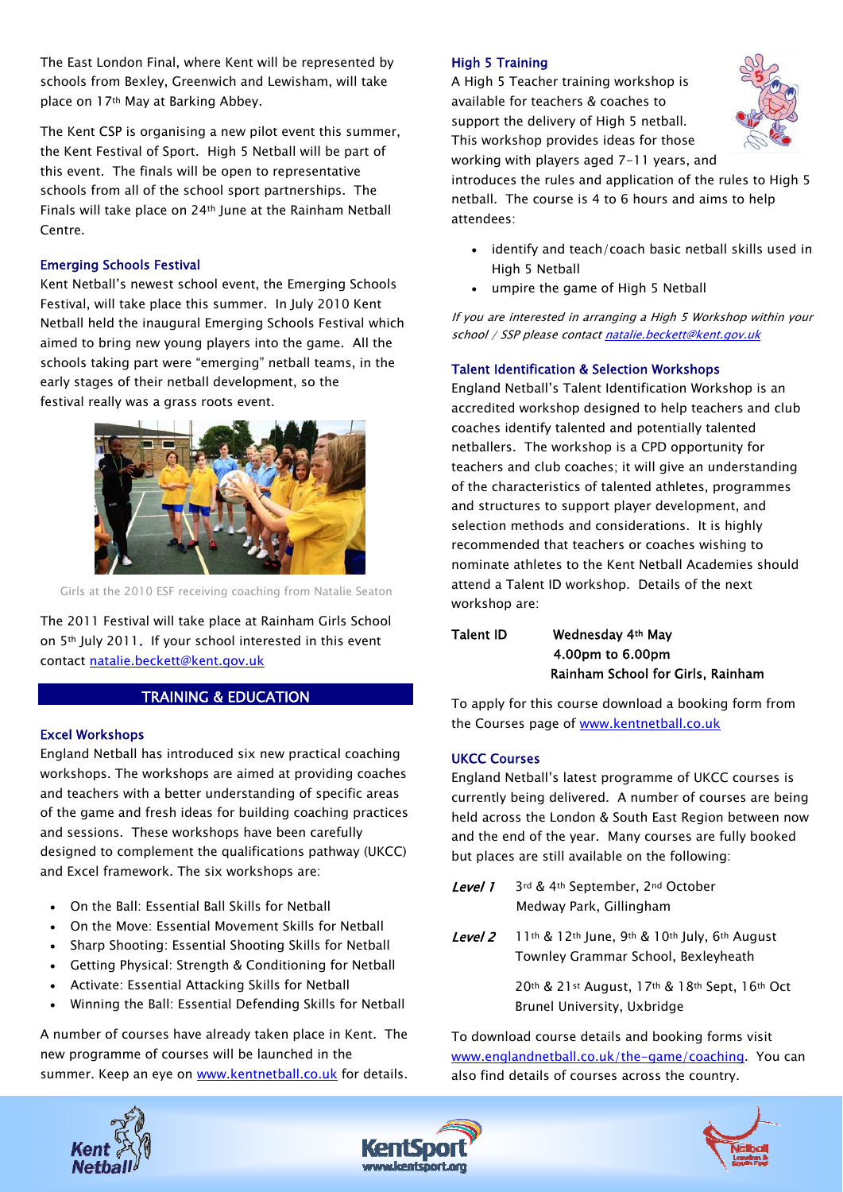The East London Final, where Kent will be represented by schools from Bexley, Greenwich and Lewisham, will take place on 17th May at Barking Abbey.

The Kent CSP is organising a new pilot event this summer, the Kent Festival of Sport. High 5 Netball will be part of this event. The finals will be open to representative schools from all of the school sport partnerships. The Finals will take place on 24th June at the Rainham Netball Centre.

## Emerging Schools Festival

Kent Netball's newest school event, the Emerging Schools Festival, will take place this summer. In July 2010 Kent Netball held the inaugural Emerging Schools Festival which aimed to bring new young players into the game. All the schools taking part were "emerging" netball teams, in the early stages of their netball development, so the festival really was a grass roots event.



Girls at the 2010 ESF receiving coaching from Natalie Seaton

The 2011 Festival will take place at Rainham Girls School on 5th July 2011. If your school interested in this event contact [natalie.beckett@kent.gov.uk](mailto:natalie.beckett@kent.gov.uk)

## TRAINING & EDUCATION

### Excel Workshops

England Netball has introduced six new practical coaching workshops. The workshops are aimed at providing coaches and teachers with a better understanding of specific areas of the game and fresh ideas for building coaching practices and sessions. These workshops have been carefully designed to complement the qualifications pathway (UKCC) and Excel framework. The six workshops are:

- On the Ball: Essential Ball Skills for Netball
- On the Move: Essential Movement Skills for Netball
- Sharp Shooting: Essential Shooting Skills for Netball
- Getting Physical: Strength & Conditioning for Netball
- Activate: Essential Attacking Skills for Netball
- Winning the Ball: Essential Defending Skills for Netball

A number of courses have already taken place in Kent. The new programme of courses will be launched in the summer. Keep an eye on [www.kentnetball.co.uk](http://www.kentnetball.co.uk/) for details.

#### High 5 Training

A High 5 Teacher training workshop is available for teachers & coaches to support the delivery of High 5 netball. This workshop provides ideas for those working with players aged 7-11 years, and



introduces the rules and application of the rules to High 5 netball. The course is 4 to 6 hours and aims to help attendees:

- identify and teach/coach basic netball skills used in High 5 Netball
- umpire the game of High 5 Netball

If you are interested in arranging a High 5 Workshop within your school / SSP please contact [natalie.beckett@kent.gov.uk](mailto:natalie.beckett@kent.gov.uk)

## Talent Identification & Selection Workshops

England Netball's Talent Identification Workshop is an accredited workshop designed to help teachers and club coaches identify talented and potentially talented netballers. The workshop is a CPD opportunity for teachers and club coaches; it will give an understanding of the characteristics of talented athletes, programmes and structures to support player development, and selection methods and considerations. It is highly recommended that teachers or coaches wishing to nominate athletes to the Kent Netball Academies should attend a Talent ID workshop. Details of the next workshop are:

## Talent ID Wednesday 4th May 4.00pm to 6.00pm Rainham School for Girls, Rainham

To apply for this course download a booking form from the Courses page of www.kentnetball.co.uk

### UKCC Courses

England Netball's latest programme of UKCC courses is currently being delivered. A number of courses are being held across the London & South East Region between now and the end of the year. Many courses are fully booked but places are still available on the following:

- Level 1 3rd & 4th September, 2nd October Medway Park, Gillingham
- Level 2 11th & 12th June, 9th & 10th July, 6th August Townley Grammar School, Bexleyheath

20th & 21st August, 17th & 18th Sept, 16th Oct Brunel University, Uxbridge

To download course details and booking forms visit [www.englandnetball.co.uk/the-game/coaching.](http://www.englandnetball.co.uk/the-game/coaching) You can also find details of courses across the country.





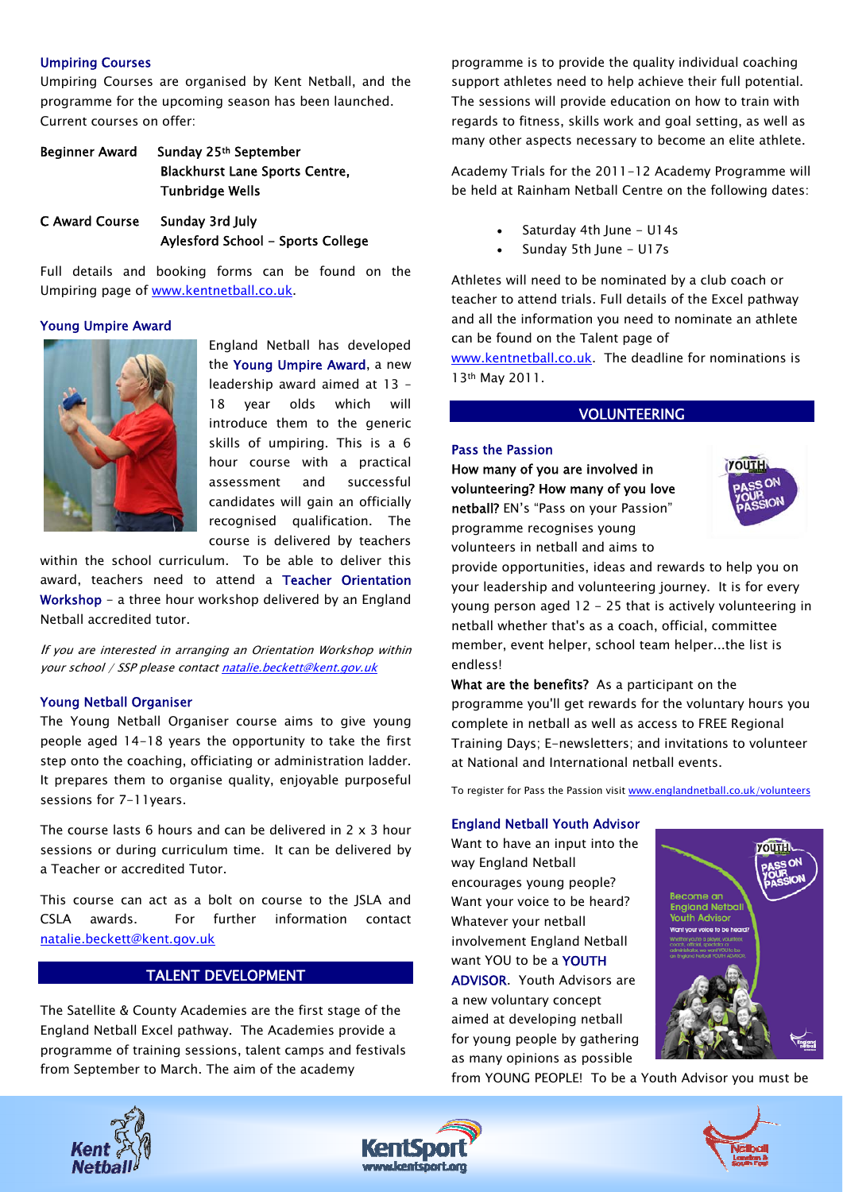### Umpiring Courses

Umpiring Courses are organised by Kent Netball, and the programme for the upcoming season has been launched. Current courses on offer:

| <b>Beginner Award</b> | Sunday 25th September                 |  |
|-----------------------|---------------------------------------|--|
|                       | <b>Blackhurst Lane Sports Centre,</b> |  |
|                       | <b>Tunbridge Wells</b>                |  |
| C Award Course        | Sunday 3rd July                       |  |
|                       | Aylesford School – Sports College     |  |

Full details and booking forms can be found on the Umpiring page of [www.kentnetball.co.uk.](http://www.kentnetball.co.uk/)

## Young Umpire Award



England Netball has developed the Young Umpire Award, a new leadership award aimed at 13 – 18 year olds which will introduce them to the generic skills of umpiring. This is a 6 hour course with a practical assessment and successful candidates will gain an officially recognised qualification. The course is delivered by teachers

within the school curriculum. To be able to deliver this award, teachers need to attend a Teacher Orientation Workshop - a three hour workshop delivered by an England Netball accredited tutor.

If you are interested in arranging an Orientation Workshop within your school / SSP please contact [natalie.beckett@kent.gov.uk](mailto:natalie.beckett@kent.gov.uk)

### Young Netball Organiser

The Young Netball Organiser course aims to give young people aged 14-18 years the opportunity to take the first step onto the coaching, officiating or administration ladder. It prepares them to organise quality, enjoyable purposeful sessions for 7-11years.

The course lasts 6 hours and can be delivered in 2 x 3 hour sessions or during curriculum time. It can be delivered by a Teacher or accredited Tutor.

This course can act as a bolt on course to the JSLA and CSLA awards. For further information contact [natalie.beckett@kent.gov.uk](mailto:natalie.beckett@kent.gov.uk)

## TALENT DEVELOPMENT

The Satellite & County Academies are the first stage of the England Netball Excel pathway. The Academies provide a programme of training sessions, talent camps and festivals from September to March. The aim of the academy

programme is to provide the quality individual coaching support athletes need to help achieve their full potential. The sessions will provide education on how to train with regards to fitness, skills work and goal setting, as well as many other aspects necessary to become an elite athlete.

Academy Trials for the 2011-12 Academy Programme will be held at Rainham Netball Centre on the following dates:

- Saturday 4th June U14s
- Sunday 5th June U17s

Athletes will need to be nominated by a club coach or teacher to attend trials. Full details of the Excel pathway and all the information you need to nominate an athlete can be found on the Talent page of

[www.kentnetball.co.uk](http://www.kentnetball.co.uk/). The deadline for nominations is 13th May 2011.

### VOLUNTEERING

#### Pass the Passion

How many of you are involved in volunteering? How many of you love netball? EN's "Pass on your Passion" programme recognises young volunteers in netball and aims to



provide opportunities, ideas and rewards to help you on your leadership and volunteering journey. It is for every young person aged 12 - 25 that is actively volunteering in netball whether that's as a coach, official, committee member, event helper, school team helper...the list is endless!

What are the benefits? As a participant on the programme you'll get rewards for the voluntary hours you complete in netball as well as access to FREE Regional Training Days; E-newsletters; and invitations to volunteer at National and International netball events.

To register for Pass the Passion visit [www.englandnetball.co.uk/volunteers](http://www.englandnetball.co.uk/volunteers) 

#### England Netball Youth Advisor

Want to have an input into the way England Netball encourages young people? Want your voice to be heard? Whatever your netball involvement England Netball want YOU to be a YOUTH ADVISOR. Youth Advisors are a new voluntary concept aimed at developing netball for young people by gathering as many opinions as possible



from YOUNG PEOPLE! To be a Youth Advisor you must be